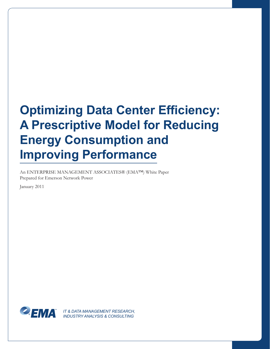# **Optimizing Data Center Efficiency: A Prescriptive Model for Reducing Energy Consumption and Improving Performance**

An ENTERPRISE MANAGEMENT ASSOCIATES® (EMA™) White Paper Prepared for Emerson Network Power

January 2011



*IT & DATA MANAGEMENT RESEARCH, INDUSTRY ANALYSIS & CONSULTING*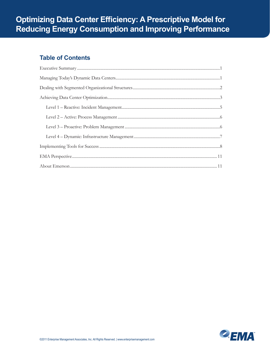# **Table of Contents**

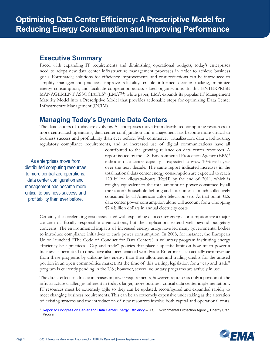#### <span id="page-2-0"></span>**Executive Summary**

Faced with expanding IT requirements and diminishing operational budgets, today's enterprises need to adopt new data center infrastructure management processes in order to achieve business goals. Fortunately, solutions for efficiency improvements and cost reductions can be introduced to simplify management practices, improve reliability, enable informed decision-making, minimize energy consumption, and facilitate cooperation across siloed organizations. In this ENTERPRISE MANAGEMENT ASSOCIATES® (EMA<sup>TM</sup>) white paper, EMA expands its popular IT Management Maturity Model into a Prescriptive Model that provides actionable steps for optimizing Data Center Infrastructure Management (DCIM).

# **Managing Today's Dynamic Data Centers**

The data centers of today are evolving. As enterprises move from distributed computing resources to more centralized operations, data center configuration and management has become more critical to business success and profitability than ever before. Web commerce, virtualization, data warehousing, regulatory compliance requirements, and an increased use of digital communications have all

As enterprises move from distributed computing resources to more centralized operations, data center configuration and management has become more critical to business success and profitability than ever before.

contributed to the growing reliance on data center resources. A report issued by the U.S. Environmental Protection Agency  $(EPA)^1$ indicates data center capacity is expected to grow 10% each year over the next decade. The same report indicated increases in the total national data center energy consumption are expected to reach 120 billion kilowatt–hours (KwH) by the end of 2011, which is roughly equivalent to the total amount of power consumed by all the nation's household lighting and four times as much collectively consumed by all American color television sets. At that point, U.S. data center power consumption alone will account for a whopping \$7.4 billion dollars in annual electricity costs.

Certainly the accelerating costs associated with expanding data center energy consumption are a major concern of fiscally responsible organizations, but the implications extend well beyond budgetary concerns. The environmental impacts of increased energy usage have led many governmental bodies to introduce compliance initiatives to curb power consumption. In 2008, for instance, the European Union launched "The Code of Conduct for Data Centers," a voluntary program instituting energy efficiency best practices. "Cap and trade" policies that place a specific limit on how much power a business is permitted to draw have also been enacted worldwide. Enterprises can actually earn revenue from these programs by utilizing less energy than their allotment and trading credits for the unused portion in an open commodities market. At the time of this writing, legislation for a "cap and trade" program is currently pending in the U.S.; however, several voluntary programs are actively in use.

The direct effect of drastic increases in power requirements, however, represents only a portion of the infrastructure challenges inherent in today's larger, more business-critical data center implementations. IT resources must be extremely agile so they can be updated, reconfigured and expanded rapidly to meet changing business requirements. This can be an extremely expensive undertaking as the alteration of existing systems and the introduction of new resources involve both capital and operational costs.

<sup>&</sup>lt;sup>1</sup> [Report to Congress on Server and Data Center Energy Efficiency](http://www.energystar.gov/ia/partners/prod_development/downloads/EPA_Datacenter_Report_Congress_Final1.pdf) – U.S. Environmental Protection Agency, Energy Star Program

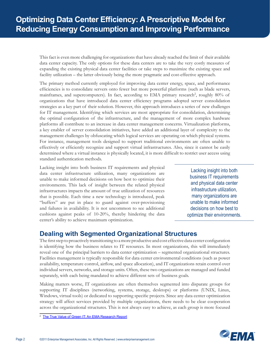<span id="page-3-0"></span>This fact is even more challenging for organizations that have already reached the limit of their available data center capacity. The only options for these data centers are to take the very costly measures of expanding the existing physical data center facilities or take steps to maximize the existing space and facility utilization – the latter obviously being the more pragmatic and cost-effective approach.

The primary method currently employed for improving data center energy, space, and performance efficiencies is to consolidate servers onto fewer but more powerful platforms (such as blade servers, mainframes, and supercomputers). In fact, according to EMA primary research<sup>2</sup>, roughly 80% of organizations that have introduced data center efficiency programs adopted server consolidation strategies as a key part of their solution. However, this approach introduces a series of new challenges for IT management. Identifying which services are most appropriate for consolidation, determining the optimal configuration of the infrastructure, and the management of more complex hardware platforms all contribute to an increase in data center management concerns. Virtualization platforms, a key enabler of server consolidation initiatives, have added an additional layer of complexity to the management challenges by obfuscating which logical services are operating on which physical systems. For instance, management tools designed to support traditional environments are often unable to effectively or efficiently recognize and support virtual infrastructures. Also, since it cannot be easily determined where a virtual instance is physically located, it is more difficult to restrict user access using standard authentication methods.

Lacking insight into both business IT requirements and physical data center infrastructure utilization, many organizations are unable to make informed decisions on how best to optimize their environments. This lack of insight between the related physical infrastructures impacts the amount of true utilization of resources that is possible. Each time a new technology is introduced, peak "buffers" are put in place to guard against over-provisioning and failures in availability. It is not uncommon to see additional cushions against peaks of 10-20%, thereby hindering the data center's ability to achieve maximum optimization.

Lacking insight into both business IT requirements and physical data center infrastructure utilization, many organizations are unable to make informed decisions on how best to optimize their environments.

# **Dealing with Segmented Organizational Structures**

The first step to proactively transitioning to a more productive and cost effective data center configuration is identifying how the business relates to IT resources. In most organizations, this will immediately reveal one of the principal barriers to data center optimization – segmented organizational structures. Facilities management is typically responsible for data center environmental conditions (such as power availability, temperature control, airflow, and space allocation), and IT organizations retain control over individual servers, networks, and storage units. Often, these two organizations are managed and funded separately, with each being mandated to achieve different sets of business goals.

Making matters worse, IT organizations are often themselves segmented into disparate groups for supporting IT disciplines (networking, systems, storage, desktops) or platforms (UNIX, Linux, Windows, virtual tools) or dedicated to supporting specific projects. Since any data center optimization strategy will affect services provided by multiple organizations, there needs to be clear cooperation across the organizational structures. This is not always easy to achieve, as each group is more focused



<sup>&</sup>lt;sup>2</sup> [The True Value of Green IT: An EMA Research Report](http://www.enterprisemanagement.com/research/asset.php?id=945)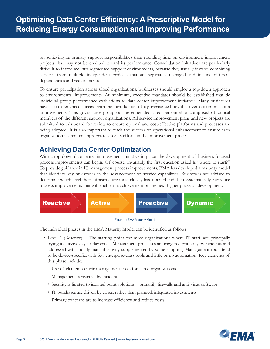<span id="page-4-0"></span>on achieving its primary support responsibilities than spending time on environment improvement projects that may not be credited toward its performance. Consolidation initiatives are particularly difficult to introduce into segmented support environments, because they usually involve combining services from multiple independent projects that are separately managed and include different dependencies and requirements.

To ensure participation across siloed organizations, businesses should employ a top-down approach to environmental improvements. At minimum, executive mandates should be established that tie individual group performance evaluations to data center improvement initiatives. Many businesses have also experienced success with the introduction of a governance body that oversees optimization improvements. This governance group can be either dedicated personnel or comprised of critical members of the different support organizations. All service improvement plans and new projects are submitted to this board for review to ensure optimal and cost-effective platforms and processes are being adopted. It is also important to track the success of operational enhancement to ensure each organization is credited appropriately for its efforts in the improvement process.

# **Achieving Data Center Optimization**

With a top-down data center improvement initiative in place, the development of business focused process improvements can begin. Of course, invariably the first question asked is "where to start?" To provide guidance in IT management process improvements, EMA has developed a maturity model that identifies key milestones in the advancement of service capabilities. Businesses are advised to determine which level their infrastructure most closely has attained and then systematically introduce process improvements that will enable the achievement of the next higher phase of development.





The individual phases in the EMA Maturity Model can be identified as follows:

- Level 1 (Reactive) The starting point for most organizations where IT staff are principally trying to survive day-to-day crises. Management processes are triggered primarily by incidents and addressed with mostly manual activity supplemented by some scripting. Management tools tend to be device-specific, with few enterprise-class tools and little or no automation. Key elements of this phase include:
	- Use of element-centric management tools for siloed organizations
	- Management is reactive by incident
	- Security is limited to isolated point solutions primarily firewalls and anti-virus software
	- IT purchases are driven by crises, rather than planned, integrated investments
	- Primary concerns are to increase efficiency and reduce costs

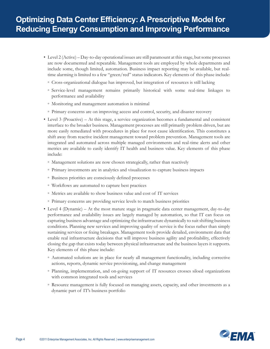- Level 2 (Active) Day-to-day operational issues are still paramount at this stage, but some processes are now documented and repeatable. Management tools are employed by whole departments and include some, though limited, automation. Business impact reporting may be available, but realtime alarming is limited to a few "green/red" status indicators. Key elements of this phase include:
	- Cross-organizational dialogue has improved, but integration of resources is still lacking
	- Service-level management remains primarily historical with some real-time linkages to performance and availability
	- Monitoring and management automation is minimal
	- Primary concerns are on improving access and control, security, and disaster recovery
- Level 3 (Proactive) At this stage, a service organization becomes a fundamental and consistent interface to the broader business. Management processes are still primarily problem driven, but are more easily remediated with procedures in place for root cause identification. This constitutes a shift away from reactive incident management toward problem prevention. Management tools are integrated and automated across multiple managed environments and real-time alerts and other metrics are available to easily identify IT health and business value. Key elements of this phase include:
	- Management solutions are now chosen strategically, rather than reactively
	- Primary investments are in analytics and visualization to capture business impacts
	- Business priorities are consciously defined processes
	- Workflows are automated to capture best practices
	- Metrics are available to show business value and cost of IT services
	- Primary concerns are providing service levels to match business priorities
- Level 4 (Dynamic) At the most mature stage in pragmatic data center management, day-to-day performance and availability issues are largely managed by automation, so that IT can focus on capturing business advantage and optimizing the infrastructure dynamically to suit shifting business conditions. Planning new services and improving quality of service is the focus rather than simply sustaining services or fixing breakages. Management tools provide detailed, environment data that enable real infrastructure decisions that will improve business agility and profitability, effectively closing the gap that exists today between physical infrastructure and the business layers it supports. Key elements of this phase include:
	- Automated solutions are in place for nearly all management functionality, including corrective actions, reports, dynamic service provisioning, and change management
	- Planning, implementation, and on-going support of IT resources crosses siloed organizations with common integrated tools and services
	- Resource management is fully focused on managing assets, capacity, and other investments as a dynamic part of IT's business portfolio

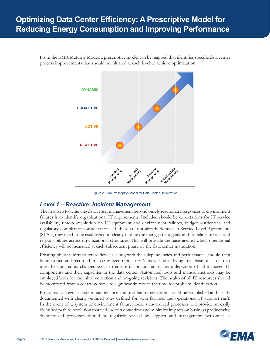# <span id="page-6-0"></span>**Optimizing Data Center Efficiency: A Prescriptive Model for Reducing Energy Consumption and Improving Performance**

From the EMA Maturity Model, a prescriptive model can be mapped that identifies specific data center process improvements that should be initiated at each level to achieve optimization.



Figure 2: EMA Prescriptive Model for Data Center Optimization

### *Level 1 – Reactive: Incident Management*

The first step to achieving data center management beyond purely reactionary responses to environment failures is to identify organizational IT requirements. Included should be expectations for IT service availability, time-to-resolution on IT equipment and environment failures, budget restrictions, and regulatory compliance considerations. If these are not already defined in Service Level Agreements (SLAs), they need to be established to clearly outline the management goals and to delineate roles and responsibilities across organizational structures. This will provide the basis against which operational efficiency will be measured at each subsequent phase of the data center maturation.

Existing physical infrastructure devices, along with their dependencies and performance, should then be identified and recorded in a centralized repository. This will be a "living" database of assets that must be updated as changes occur to ensure it contains an accurate depiction of all managed IT components and their capacities in the data center. Automated tools and manual methods may be employed both for the initial collection and on-going revisions. The health of all IT resources should be monitored from a central console to significantly reduce the time for problem identification.

Processes for regular system maintenance and problem remediation should be established and clearly documented with clearly outlined roles defined for both facilities and operational IT support staff. In the event of a system or environment failure, these standardized processes will provide an easily identified path to resolution that will shorten downtime and minimize impacts on business productivity. Standardized processes should be regularly revised by support and management personnel as

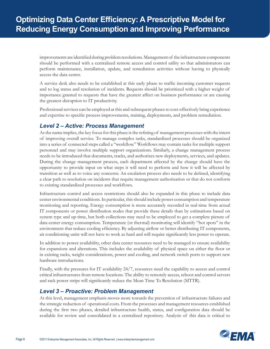<span id="page-7-0"></span>improvements are identified during problem resolutions. Management of the infrastructure components should be performed with a centralized remote access and control utility so that administrators can perform maintenance, installation, update, and remediation activities without having to physically access the data center.

A service desk also needs to be established at this early phase to traffic incoming customer requests and to log status and resolution of incidents. Requests should be prioritized with a higher weight of importance granted to requests that have the greatest affect on business performance or are causing the greatest disruption to IT productivity.

Professional services can be employed at this and subsequent phases to cost-effectively bring experience and expertise to specific process improvements, training, deployments, and problem remediation.

#### *Level 2 – Active: Process Management*

As the name implies, the key focus for this phase is the refining of management processes with the intent of improving overall service. To manage complex tasks, standardized processes should be organized into a series of connected steps called a "workflow." Workflows may contain tasks for multiple support personnel and may involve multiple support organizations. Similarly, a change management process needs to be introduced that documents, tracks, and authorizes new deployments, services, and updates. During the change management process, each department affected by the change should have the opportunity to provide input on what steps it will need to perform and how it will be affected by transition as well as to voice any concerns. An escalation process also needs to be defined, identifying a clear path to resolution on incidents that require management authorization or that do not conform to existing standardized processes and workflows.

Infrastructure control and access restrictions should also be expanded in this phase to include data center environmental conditions. In particular, this should include power consumption and temperature monitoring and reporting. Energy consumption is more accurately recorded in real-time from actual IT components or power distribution nodes that provide these details than by estimations based on system type and up-time, but both collections may need to be employed to get a complete picture of data center energy consumption. Temperature (or thermal) monitoring will identify "hot spots" in the environment that reduce cooling efficiency. By adjusting airflow or better distributing IT components, air conditioning units will not have to work as hard and will require significantly less power to operate.

In addition to power availability, other data center resources need to be managed to ensure availability for expansions and alterations. This includes the availability of physical space on either the floor or in existing racks, weight considerations, power and cooling, and network switch ports to support new hardware introductions.

Finally, with the pressures for IT availability 24/7, resources need the capability to access and control critical infrastructures from remote locations. The ability to remotely access, reboot and control servers and rack power strips will significantly reduce the Mean Time To Resolution (MTTR).

#### *Level 3 – Proactive: Problem Management*

At this level, management emphasis moves more towards the prevention of infrastructure failures and the strategic reduction of operational costs. From the processes and management resources established during the first two phases, detailed infrastructure health, status, and configuration data should be available for review and consolidated in a centralized repository. Analysis of this data is critical to

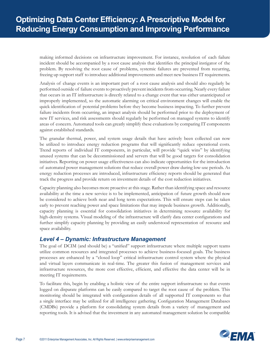<span id="page-8-0"></span>making informed decisions on infrastructure improvement. For instance, resolution of each failure incident should be accompanied by a root cause analysis that identifies the principal instigator of the problem. By resolving the root cause of problems, systemic failures are prevented from recurring, freeing up support staff to introduce additional improvements and meet new business IT requirements.

Analysis of change events is an important part of a root cause analysis and should also regularly be performed outside of failure events to proactively prevent incidents from occurring. Nearly every failure that occurs in an IT infrastructure is directly related to a change event that was either unanticipated or improperly implemented, so the automatic alarming on critical environment changes will enable the quick identification of potential problems before they become business impacting. To further prevent failure incidents from occurring, an impact analysis should be performed prior to the deployment of new IT services, and risk assessments should regularly be performed on managed systems to identify areas of concern. Automated tools can greatly simplify these evaluations by comparing IT components against established standards.

The granular thermal, power, and system usage details that have actively been collected can now be utilized to introduce energy reduction programs that will significantly reduce operational costs. Trend reports of individual IT components, in particular, will provide "quick wins" by identifying unused systems that can be decommissioned and servers that will be good targets for consolidation initiatives. Reporting on power usage effectiveness can also indicate opportunities for the introduction of automated power management solutions that reduce overall power draw during low-use periods. As energy reduction processes are introduced, infrastructure efficiency reports should be generated that track the progress and provide return on investment details of the cost reduction initiatives.

Capacity planning also becomes more proactive at this stage. Rather than identifying space and resource availability at the time a new service is to be implemented, anticipation of future growth should now be considered to achieve both near and long term expectations. This will ensure steps can be taken early to prevent reaching power and space limitations that may impede business growth. Additionally, capacity planning is essential for consolidation initiatives in determining resource availability for high-density systems. Visual modeling of the infrastructure will clarify data center configurations and further simplify capacity planning by providing an easily understood representation of resource and space availability.

#### *Level 4 – Dynamic: Infrastructure Management*

The goal of DCIM (and should be) a "unified" support infrastructure where multiple support teams utilize common resources and integrated processes to achieve business-focused goals. The business processes are enhanced by a "closed loop" critical infrastructure control system where the physical and virtual layers communicate in real-time. The greater this fusion of management services and infrastructure resources, the more cost effective, efficient, and effective the data center will be in meeting IT requirements.

To facilitate this, begin by enabling a holistic view of the entire support infrastructure so that events logged on disparate platforms can be easily compared to target the root cause of the problem. This monitoring should be integrated with configuration details of all supported IT components so that a single interface may be utilized for all intelligence gathering. Configuration Management Databases (CMDBs) provide a platform for consolidating system details from a variety of management and reporting tools. It is advised that the investment in any automated management solution be compatible

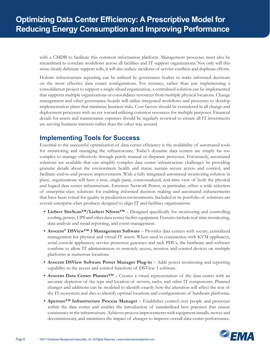<span id="page-9-0"></span>with a CMDB to facilitate this common information platform. Management processes must also be streamlined to correlate workflows across all facilities and IT support organizations. Not only will this more clearly delineate support rolls, it will also reduce incidents of service conflicts and duplicate efforts.

Holistic infrastructure reporting can be utilized by governance bodies to make informed decisions on the most effective data center configurations. For instance, rather than just implementing a consolidation project to support a single siloed organization, a centralized solution can be implemented that supports multiple organizations or consolidates resources from multiple physical locations. Change management and other governance boards will utilize integrated workflows and processes to develop implementation plans that minimize business risks. Cost factors should be considered in all change and deployment processes with an eye toward utilizing common resources for multiple purposes. Financial details for assets and maintenance expenses should be regularly reviewed to ensure all IT investments are serving business interests rather than the other way around.

# **Implementing Tools for Success**

Essential to the successful optimization of data center efficiency is the availability of automated tools for monitoring and managing the infrastructure. Today's dynamic data centers are simply far too complex to manage effectively through purely manual or disparate processes. Fortunately, automated solutions are available that can simplify complex data center infrastructure challenges by providing granular details about the environment health and status, sustain secure access and control, and facilitate end-to-end process improvements. With a fully integrated automated monitoring solution in place, organizations will have a true, single-pane, contextualized, real-time view of both the physical and logical data center infrastructure. Emerson Network Power, in particular, offers a wide selection of enterprise-class solutions for enabling informed decision making and automated enhancements that have been vetted for quality in production environments. Included in its portfolio of solutions are several enterprise-class products designed to align IT and facilities organizations:

- **• Liebert SiteScan™/Liebert Nform™** Designed specifically for monitoring and controlling cooling, power, UPS and other data center facility equipment. Features include real-time monitoring, data analysis and trend reporting, and event management.
- **• Avocent® DSView™ 3 Management Software** Provides data centers with secure, centralized management for physical and virtual IT assets. When used in conjunction with KVM appliances, serial console appliances, service processor gateways and rack PDUs, the hardware and software combine to allow IT administrators to remotely access, monitor and control devices on multiple platforms at numerous locations.
- **• Avocent DSView Software Power Manager Plug-in** Adds power monitoring and reporting capability to the access and control functions of DSView 3 software.
- **• Avocent Data Center Planner™** Creates a visual representation of the data center with an accurate depiction of the type and location of servers, racks, and other IT components. Planned changes and additions can be modeled to identify exactly how the alteration will affect the rest of the IT ecosystem and also to identify optimal locations and configurations of hardware platforms.
- **• Aperture™ Infrastructure Process Manager** Establishes control over people and processes within the data center and enables the introduction of standardized best practices that ensure consistency in the infrastructure. Achieves process improvements with equipment installs, moves and decommissions, and minimizes the impact of changes to improve overall data center performance.

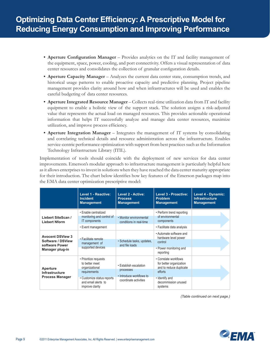- **• Aperture Configuration Manager** Provides analytics on the IT and facility management of the equipment, space, power, cooling, and port connectivity. Offers a visual representation of data center resources and consolidates the collection of granular configuration details.
- **• Aperture Capacity Manager** Analyzes the current data center state, consumption trends, and historical usage patterns to enable proactive capacity and predictive planning. Project pipeline management provides clarity around how and when infrastructures will be used and enables the careful budgeting of data center resources.
- **• Aperture Integrated Resource Manager** Collects real-time utilization data from IT and facility equipment to enable a holistic view of the support stack. The solution assigns a risk-adjusted value that represents the actual load on managed resources. This provides actionable operational information that helps IT successfully analyze and manage data center resources, maximize utilization, and improve process efficiency.
- **• Aperture Integration Manager** Integrates the management of IT systems by consolidating and correlating technical details and resource administration across the infrastructure. Enables service-centric performance optimization with support from best practices such as the Information Technology Infrastructure Library (ITIL).

Implementation of tools should coincide with the deployment of new services for data center improvements. Emerson's modular approach to infrastructure management is particularly helpful here as it allows enterprises to invest in solutions when they have reached the data center maturity appropriate for their introduction. The chart below identifies how key features of the Emerson packages map into the EMA data center optimization prescriptive model:

|                                                                                   | <b>Level 1 - Reactive:</b><br><b>Incident</b><br><b>Management</b>                                                                                | Level 2 - Active:<br><b>Process</b><br><b>Management</b>                                 | <b>Level 3 - Proactive:</b><br><b>Problem</b><br><b>Management</b>                                                                         | Level 4 - Dynamic:<br><b>Infrastructure</b><br><b>Management</b> |
|-----------------------------------------------------------------------------------|---------------------------------------------------------------------------------------------------------------------------------------------------|------------------------------------------------------------------------------------------|--------------------------------------------------------------------------------------------------------------------------------------------|------------------------------------------------------------------|
| Liebert SiteScan /<br><b>Liebert Nform</b>                                        | • Enable centralized<br>monitoring and control of<br>IT components<br>• Event management                                                          | • Monitor environmental<br>conditions in real-time                                       | • Perform trend reporting<br>of environmental<br>components<br>• Facilitate data analysis                                                  |                                                                  |
| <b>Avocent DSView 3</b><br>Software / DSView<br>software Power<br>Manager plug-in | · Facilitate remote<br>management of<br>supported devices                                                                                         | • Schedule tasks, updates,<br>and file loads                                             | . Automate software and<br>hardware level power<br>control<br>• Power monitoring and<br>reporting                                          |                                                                  |
| Aperture<br>Infrastructure<br><b>Process Manager</b>                              | • Prioritize requests<br>to better meet<br>organizational<br>requirements<br>• Customize status reports<br>and email alerts to<br>improve clarity | • Establish escalation<br>processes<br>• Introduce workflows to<br>coordinate activities | • Correlate workflows<br>for better organization<br>and to reduce duplicate<br>efforts<br>· Identify and<br>decommission unused<br>systems |                                                                  |

*(Table continued on next page.)*

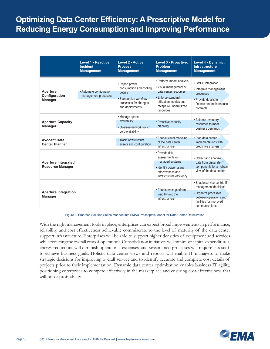|                                                       | <b>Level 1 - Reactive:</b><br><b>Incident</b><br><b>Management</b> | Level 2 - Active:<br><b>Process</b><br><b>Management</b>                                                                   | Level 3 - Proactive:<br><b>Problem</b><br><b>Management</b>                                                                                                           | Level 4 - Dynamic:<br><b>Infrastructure</b><br><b>Management</b>                                                                                   |
|-------------------------------------------------------|--------------------------------------------------------------------|----------------------------------------------------------------------------------------------------------------------------|-----------------------------------------------------------------------------------------------------------------------------------------------------------------------|----------------------------------------------------------------------------------------------------------------------------------------------------|
| Aperture<br>Configuration<br><b>Manager</b>           | • Automate configuration<br>management processes                   | • Report power<br>consumption and cooling<br>details<br>· Standardize workflow<br>processes for changes<br>and deployments | • Perform impact analysis<br>• Visual management of<br>data center resources<br>• Enforce standard<br>utilization metrics and<br>recapture underutilized<br>resources | • CMDB integration<br>• Integrate management<br>processes<br>• Provide details for<br>finance and maintenance<br>contracts                         |
| <b>Aperture Capacity</b><br><b>Manager</b>            |                                                                    | • Manage space<br>availability<br>• Oversee network switch<br>port availability                                            | • Proactive capacity<br>planning                                                                                                                                      | • Balance inventory<br>resources to meet<br>business demands                                                                                       |
| <b>Avocent Data</b><br><b>Center Planner</b>          |                                                                    | • Track infrastructure<br>assets and configuration                                                                         | · Enable visual modeling<br>of the data center<br>infrastructure                                                                                                      | · Plan data center<br>implementations with<br>predictive analysis                                                                                  |
| <b>Aperture Integrated</b><br><b>Resource Manager</b> |                                                                    |                                                                                                                            | • Provide risk<br>assessments on<br>managed systems<br>· Identify power usage<br>effectiveness and<br>infrastructure efficiency                                       | • Collect and analyze<br>data from disparate IT<br>components for a holistic<br>view of the data center                                            |
| <b>Aperture Integration</b><br><b>Manager</b>         |                                                                    |                                                                                                                            | · Enable cross-platform<br>visibility into the<br>infrastructure                                                                                                      | · Enable service-centric IT<br>management decisions<br>· Organize processes<br>between operations and<br>facilities for improved<br>communications |

Figure 3: Emerson Solution Suites mapped into EMA's Prescriptive Model for Data Center Optimization

With the right management tools in place, enterprises can expect broad improvements in performance, reliability, and cost effectiveness achievable commiserate to the level of maturity of the data center support infrastructure. Enterprises will be able to support higher densities of equipment and services while reducing the overall cost of operations. Consolidation initiatives will minimize capital expenditures, energy reductions will diminish operational expenses, and streamlined processes will require less staff to achieve business goals. Holistic data center views and reports will enable IT managers to make strategic decisions for improving overall service and to identify accurate and complete cost details of projects prior to their implementation. Dynamic data center optimization enables business IT agility, positioning enterprises to compete effectively in the marketplace and ensuring cost-effectiveness that will boost profitability.